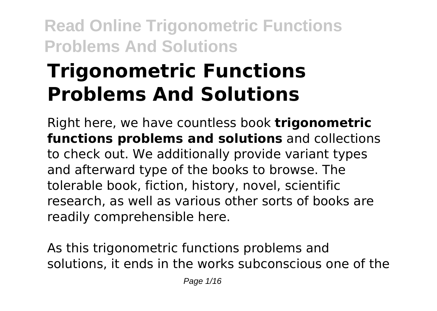# **Trigonometric Functions Problems And Solutions**

Right here, we have countless book **trigonometric functions problems and solutions** and collections to check out. We additionally provide variant types and afterward type of the books to browse. The tolerable book, fiction, history, novel, scientific research, as well as various other sorts of books are readily comprehensible here.

As this trigonometric functions problems and solutions, it ends in the works subconscious one of the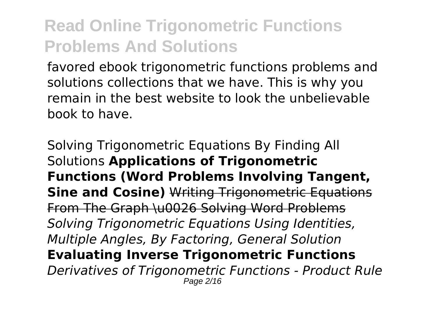favored ebook trigonometric functions problems and solutions collections that we have. This is why you remain in the best website to look the unbelievable book to have.

Solving Trigonometric Equations By Finding All Solutions **Applications of Trigonometric Functions (Word Problems Involving Tangent, Sine and Cosine)** Writing Trigonometric Equations From The Graph \u0026 Solving Word Problems *Solving Trigonometric Equations Using Identities, Multiple Angles, By Factoring, General Solution* **Evaluating Inverse Trigonometric Functions** *Derivatives of Trigonometric Functions - Product Rule* Page 2/16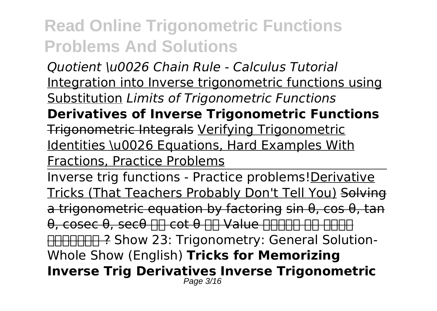*Quotient \u0026 Chain Rule - Calculus Tutorial* Integration into Inverse trigonometric functions using Substitution *Limits of Trigonometric Functions* **Derivatives of Inverse Trigonometric Functions** Trigonometric Integrals Verifying Trigonometric Identities \u0026 Equations, Hard Examples With Fractions, Practice Problems

Inverse trig functions - Practice problems! Derivative Tricks (That Teachers Probably Don't Tell You) Solving a trigonometric equation by factoring sin θ, cos θ, tan θ, cosec θ, secθ ΠΠ cot θ ΠΠ Value ΠΠΠΠΠ ΠΠ ΠΠΠΠ निकालें ? Show 23: Trigonometry: General Solution-Whole Show (English) **Tricks for Memorizing Inverse Trig Derivatives Inverse Trigonometric** Page 3/16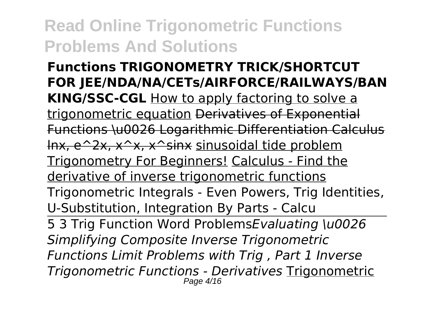**Functions TRIGONOMETRY TRICK/SHORTCUT FOR JEE/NDA/NA/CETs/AIRFORCE/RAILWAYS/BAN KING/SSC-CGL** How to apply factoring to solve a trigonometric equation Derivatives of Exponential Functions \u0026 Logarithmic Differentiation Calculus lnx, e^2x, x^x, x^sinx sinusoidal tide problem Trigonometry For Beginners! Calculus - Find the derivative of inverse trigonometric functions Trigonometric Integrals - Even Powers, Trig Identities, U-Substitution, Integration By Parts - Calcu 5 3 Trig Function Word Problems*Evaluating \u0026 Simplifying Composite Inverse Trigonometric*

*Functions Limit Problems with Trig , Part 1 Inverse Trigonometric Functions - Derivatives* Trigonometric Page 4/16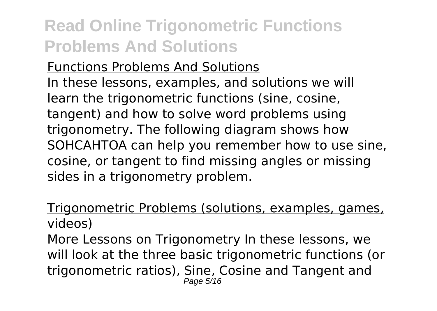#### Functions Problems And Solutions

In these lessons, examples, and solutions we will learn the trigonometric functions (sine, cosine, tangent) and how to solve word problems using trigonometry. The following diagram shows how SOHCAHTOA can help you remember how to use sine, cosine, or tangent to find missing angles or missing sides in a trigonometry problem.

#### Trigonometric Problems (solutions, examples, games, videos)

More Lessons on Trigonometry In these lessons, we will look at the three basic trigonometric functions (or trigonometric ratios), Sine, Cosine and Tangent and Page 5/16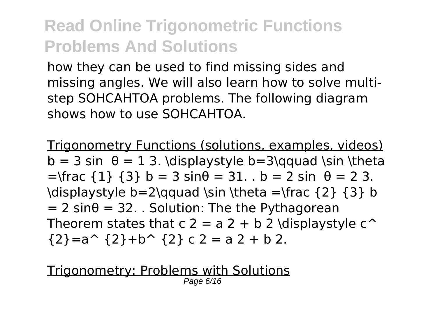how they can be used to find missing sides and missing angles. We will also learn how to solve multistep SOHCAHTOA problems. The following diagram shows how to use SOHCAHTOA.

Trigonometry Functions (solutions, examples, videos) b = 3 sin  $\theta$  = 1 3. \displaystyle b=3\qquad \sin \theta  $=\frac{1}{3}$   $\frac{3}{5}$  b = 3 sin $\theta$  = 31. . b = 2 sin  $\theta$  = 2 3. \displaystyle  $b=2\qquad$ qquad \sin \theta =\frac {2} {3} b  $= 2 \sin\theta = 32$ . . Solution: The the Pythagorean Theorem states that  $c$  2 = a 2 + b 2 \displaystyle  $c^{\wedge}$  ${2} = a^{\text{-}} {2} + b^{\text{-}} {2} c 2 = a 2 + b 2.$ 

Trigonometry: Problems with Solutions Page 6/16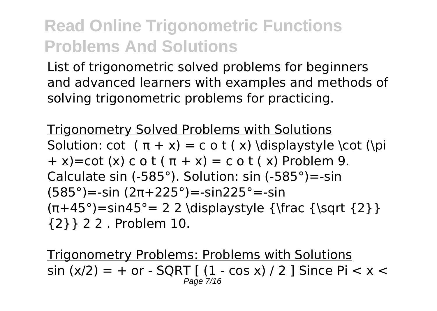List of trigonometric solved problems for beginners and advanced learners with examples and methods of solving trigonometric problems for practicing.

Trigonometry Solved Problems with Solutions Solution: cot  $(\pi + x) = c$  o t  $(x)$  \displaystyle \cot (\pi  $+ x$ )=cot (x) c o t ( $\pi + x$ ) = c o t (x) Problem 9. Calculate sin (-585°). Solution: sin (-585°)=-sin (585°)=-sin (2π+225°)=-sin225°=-sin  $(\pi+45^\circ)=\sin 45^\circ = 2$  2 \displaystyle {\frac {\sqrt {2}} {2}} 2 2 . Problem 10.

Trigonometry Problems: Problems with Solutions  $\sin (x/2) = +$  or - SORT [ (1 - cos x) / 2 ] Since Pi < x < Page 7/16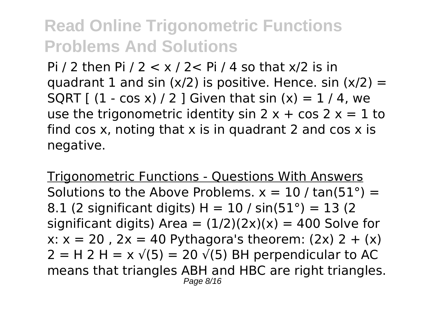Pi / 2 then Pi / 2  $\lt x$  / 2 $\lt P$  Pi / 4 so that  $x/2$  is in quadrant 1 and sin  $(x/2)$  is positive. Hence. sin  $(x/2) =$ SQRT  $(1 - \cos x)/2$  Given that sin  $(x) = 1/4$ , we use the trigonometric identity sin  $2x + \cos 2x = 1$  to find cos x, noting that x is in quadrant 2 and cos  $x$  is negative.

Trigonometric Functions - Questions With Answers Solutions to the Above Problems.  $x = 10 / \tan(51^\circ) =$ 8.1 (2 significant digits) H =  $10/$  sin(51°) = 13 (2) significant digits) Area =  $(1/2)(2x)(x) = 400$  Solve for x:  $x = 20$ ,  $2x = 40$  Pythagora's theorem:  $(2x)$  2 +  $(x)$  $2 = H$  2 H = x  $\sqrt{(5)} = 20 \sqrt{(5)}$  BH perpendicular to AC means that triangles ABH and HBC are right triangles. Page 8/16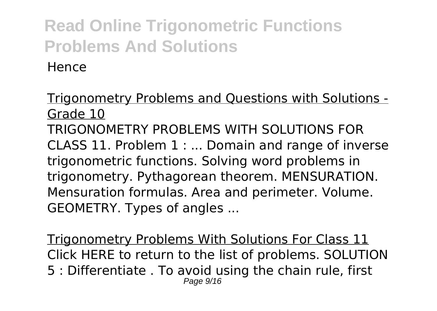Hence

Trigonometry Problems and Questions with Solutions - Grade 10 TRIGONOMETRY PROBLEMS WITH SOLUTIONS FOR CLASS 11. Problem 1 : ... Domain and range of inverse trigonometric functions. Solving word problems in trigonometry. Pythagorean theorem. MENSURATION. Mensuration formulas. Area and perimeter. Volume. GEOMETRY. Types of angles ...

Trigonometry Problems With Solutions For Class 11 Click HERE to return to the list of problems. SOLUTION 5 : Differentiate . To avoid using the chain rule, first Page 9/16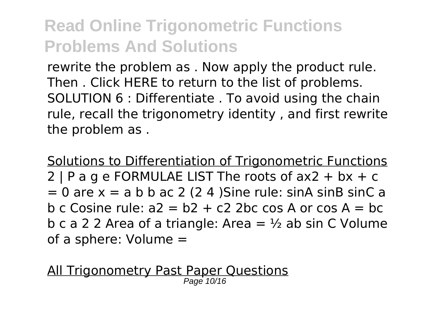rewrite the problem as . Now apply the product rule. Then . Click HERE to return to the list of problems. SOLUTION 6 : Differentiate . To avoid using the chain rule, recall the trigonometry identity , and first rewrite the problem as .

Solutions to Differentiation of Trigonometric Functions 2 | P a g e FORMULAE LIST The roots of  $ax2 + bx + c$  $= 0$  are  $x = a b b a c 2 (2 4)$ Sine rule: sinA sinB sinC a b c Cosine rule:  $a2 = b2 + c2$  2bc cos A or cos A = bc b c a 2 2 Area of a triangle: Area =  $\frac{1}{2}$  ab sin C Volume of a sphere: Volume =

All Trigonometry Past Paper Questions Page 10/16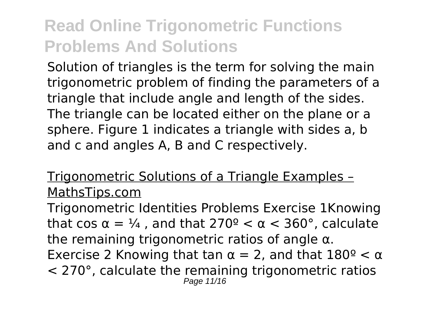Solution of triangles is the term for solving the main trigonometric problem of finding the parameters of a triangle that include angle and length of the sides. The triangle can be located either on the plane or a sphere. Figure 1 indicates a triangle with sides a, b and c and angles A, B and C respectively.

#### Trigonometric Solutions of a Triangle Examples – MathsTips.com

Trigonometric Identities Problems Exercise 1Knowing that cos  $\alpha = \frac{1}{4}$ , and that  $270^{\circ} < \alpha < 360^{\circ}$ , calculate the remaining trigonometric ratios of angle  $\alpha$ . Exercise 2 Knowing that tan  $\alpha = 2$ , and that  $180^{\circ} < \alpha$ < 270°, calculate the remaining trigonometric ratios Page 11/16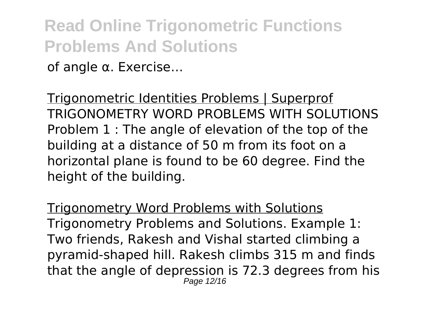### **Read Online Trigonometric Functions Problems And Solutions** of angle α. Exercise…

Trigonometric Identities Problems | Superprof TRIGONOMETRY WORD PROBLEMS WITH SOLUTIONS Problem 1 : The angle of elevation of the top of the building at a distance of 50 m from its foot on a horizontal plane is found to be 60 degree. Find the height of the building.

Trigonometry Word Problems with Solutions Trigonometry Problems and Solutions. Example 1: Two friends, Rakesh and Vishal started climbing a pyramid-shaped hill. Rakesh climbs 315 m and finds that the angle of depression is 72.3 degrees from his Page 12/16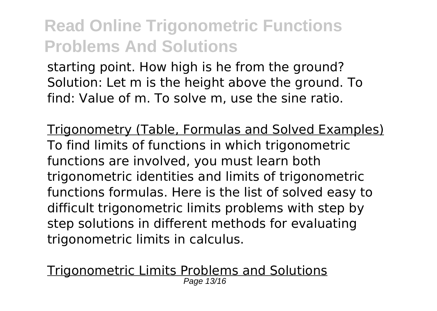starting point. How high is he from the ground? Solution: Let m is the height above the ground. To find: Value of m. To solve m, use the sine ratio.

Trigonometry (Table, Formulas and Solved Examples) To find limits of functions in which trigonometric functions are involved, you must learn both trigonometric identities and limits of trigonometric functions formulas. Here is the list of solved easy to difficult trigonometric limits problems with step by step solutions in different methods for evaluating trigonometric limits in calculus.

<u>Trigonometric Limits Problems and Solutions</u><br>Page 13/16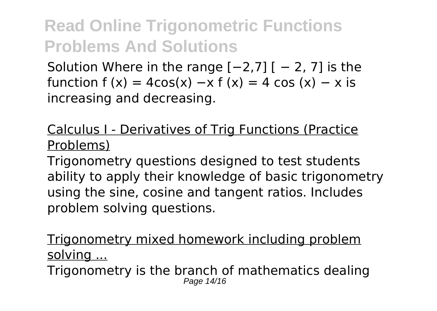Solution Where in the range  $[-2,7]$  [ − 2, 7] is the function f  $(x) = 4\cos(x) - x$  f  $(x) = 4\cos(x) - x$  is increasing and decreasing.

Calculus I - Derivatives of Trig Functions (Practice Problems)

Trigonometry questions designed to test students ability to apply their knowledge of basic trigonometry using the sine, cosine and tangent ratios. Includes problem solving questions.

Trigonometry mixed homework including problem solving ...

Trigonometry is the branch of mathematics dealing Page 14/16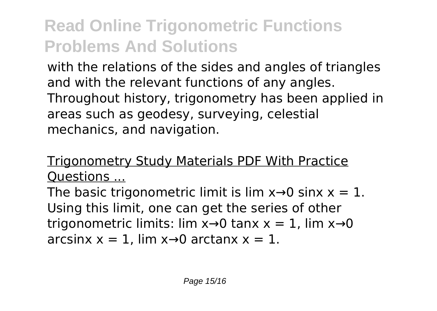with the relations of the sides and angles of triangles and with the relevant functions of any angles. Throughout history, trigonometry has been applied in areas such as geodesy, surveying, celestial mechanics, and navigation.

### Trigonometry Study Materials PDF With Practice Questions ...

The basic trigonometric limit is lim  $x \rightarrow 0$  sinx  $x = 1$ . Using this limit, one can get the series of other trigonometric limits: lim  $x\rightarrow 0$  tanx  $x = 1$ , lim  $x\rightarrow 0$ arcsinx  $x = 1$ , lim  $x \rightarrow 0$  arctanx  $x = 1$ .